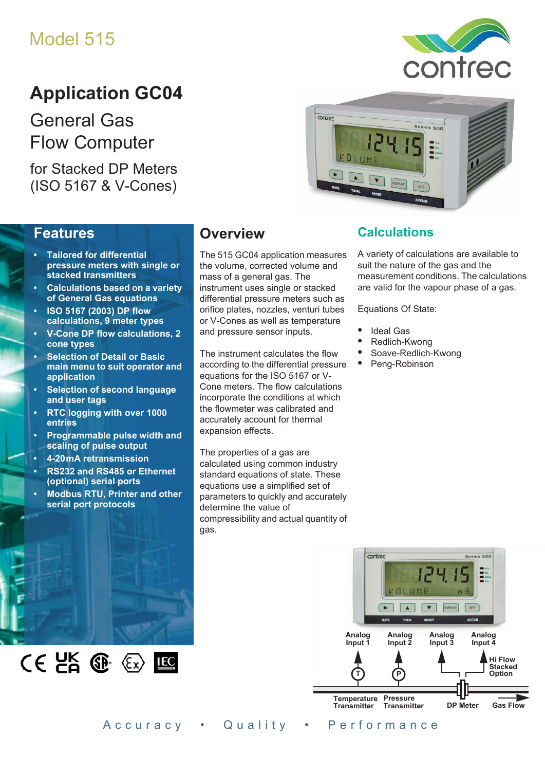# Model 515

# **Application GC04**

General Gas Flow Computer

for Stacked DP Meters (ISO 5167 & V-Cones)



## **Features**

- **Tailored for differential pressure meters with single or stacked transmitters**
- **Calculations based on a variety of General Gas equations**
- **ISO 5167 (2003) DP flow calculations, 9 meter types**
- **V-Cone DP flow calculations, 2 cone types**
- **Selection of Detail or Basic main menu to suit operator and application**
- **Selection of second language and user tags**
- **RTC logging with over 1000 entries**
- **Programmable pulse width and scaling of pulse output**
- **4-20 mA retransmission**
- **RS232 and RS485 or Ethernet (optional) serial ports**
- **Modbus RTU, Printer and other serial port protocols**

## **Overview**

The 515 GC04 application measures the volume, corrected volume and mass of a general gas. The instrument uses single or stacked differential pressure meters such as orifice plates, nozzles, venturi tubes or V-Cones as well as temperature and pressure sensor inputs.

The instrument calculates the flow according to the differential pressure equations for the ISO 5167 or V-Cone meters. The flow calculations incorporate the conditions at which the flowmeter was calibrated and accurately account for thermal expansion effects.

The properties of a gas are calculated using common industry standard equations of state. These equations use a simplified set of parameters to quickly and accurately determine the value of compressibility and actual quantity of gas.

## **Calculations**

A variety of calculations are available to suit the nature of the gas and the measurement conditions. The calculations are valid for the vapour phase of a gas.

Equations Of State:

- **•** Ideal Gas
- **•** Redlich-Kwong
- **•** Soave-Redlich-Kwong
- **•** Peng-Robinson





Accuracy • Quality • Performance

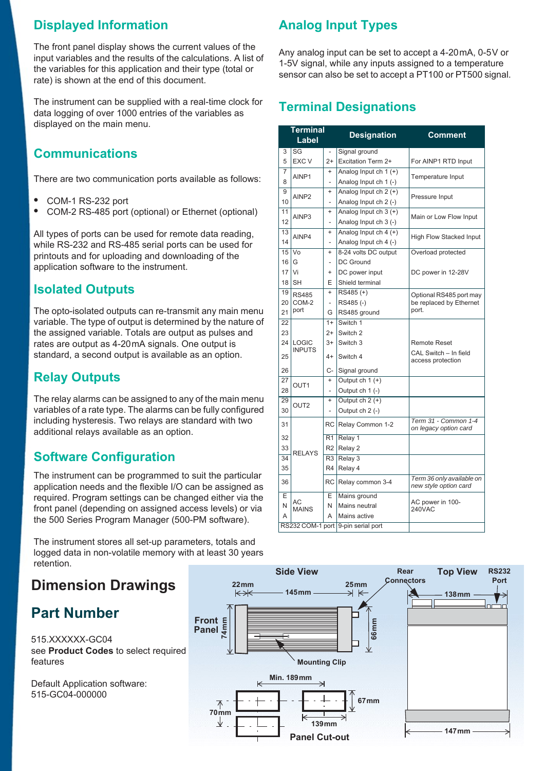## **Displayed Information**

The front panel display shows the current values of the input variables and the results of the calculations. A list of the variables for this application and their type (total or rate) is shown at the end of this document.

The instrument can be supplied with a real-time clock for data logging of over 1000 entries of the variables as displayed on the main menu.

## **Communications**

There are two communication ports available as follows:

- **•** COM-1 RS-232 port
- **•** COM-2 RS-485 port (optional) or Ethernet (optional)

All types of ports can be used for remote data reading, while RS-232 and RS-485 serial ports can be used for printouts and for uploading and downloading of the application software to the instrument.

## **Isolated Outputs**

The opto-isolated outputs can re-transmit any main menu variable. The type of output is determined by the nature of the assigned variable. Totals are output as pulses and rates are output as 4-20 mA signals. One output is standard, a second output is available as an option.

## **Relay Outputs**

The relay alarms can be assigned to any of the main menu variables of a rate type. The alarms can be fully configured including hysteresis. Two relays are standard with two additional relays available as an option.

## **Software Configuration**

The instrument can be programmed to suit the particular application needs and the flexible I/O can be assigned as required. Program settings can be changed either via the front panel (depending on assigned access levels) or via the 500 Series Program Manager (500-PM software).

The instrument stores all set-up parameters, totals and logged data in non-volatile memory with at least 30 years retention.

## **Dimension Drawings**

## **Part Number**

515.XXXXXX-GC04 see **[Product Codes](#page-3-0)** to select required features

Default Application software: 515-GC04-000000

## **Analog Input Types**

Any analog input can be set to accept a 4-20 mA, 0-5 V or 1-5V signal, while any inputs assigned to a temperature sensor can also be set to accept a PT100 or PT500 signal.

## **Terminal Designations**

| <b>Terminal</b><br>Label |                                    |                          | <b>Designation</b>      | <b>Comment</b>                                     |  |  |
|--------------------------|------------------------------------|--------------------------|-------------------------|----------------------------------------------------|--|--|
| 3                        | SG                                 |                          | Signal ground           |                                                    |  |  |
| 5                        | <b>EXC V</b>                       | $2+$                     | Excitation Term 2+      | For AINP1 RTD Input                                |  |  |
| 7                        | AINP1                              | $\ddot{}$                | Analog Input ch $1 (+)$ | Temperature Input                                  |  |  |
| 8                        |                                    | $\overline{\phantom{0}}$ | Analog Input ch 1 (-)   |                                                    |  |  |
| 9                        | AINP <sub>2</sub>                  | $\ddot{}$                | Analog Input ch 2 (+)   | Pressure Input                                     |  |  |
| 10                       |                                    | $\overline{\phantom{0}}$ | Analog Input ch 2 (-)   |                                                    |  |  |
| 11                       | AINP3                              | $\ddot{}$                | Analog Input ch $3 (+)$ | Main or Low Flow Input                             |  |  |
| 12                       |                                    | L.                       | Analog Input ch 3 (-)   |                                                    |  |  |
| 13                       | AINP4                              | $\ddot{}$                | Analog Input ch 4 (+)   | <b>High Flow Stacked Input</b>                     |  |  |
| 14                       |                                    | $\overline{a}$           | Analog Input ch 4 (-)   |                                                    |  |  |
| 15                       | Vo                                 | $\ddot{}$                | 8-24 volts DC output    | Overload protected                                 |  |  |
| 16                       | G                                  | $\overline{\phantom{0}}$ | DC Ground               |                                                    |  |  |
| 17                       | Vi                                 | $\ddot{}$                | DC power input          | DC power in 12-28V                                 |  |  |
| 18                       | <b>SH</b>                          | E                        | Shield terminal         |                                                    |  |  |
| 19                       | <b>RS485</b>                       | $\ddot{}$                | RS485(+)                | Optional RS485 port may                            |  |  |
| 20                       | COM-2                              | $\overline{\phantom{a}}$ | RS485(-)                | be replaced by Ethernet                            |  |  |
| 21                       | port                               | G                        | RS485 ground            | port.                                              |  |  |
| $\overline{22}$          |                                    | $1+$                     | Switch 1                |                                                    |  |  |
| 23                       |                                    | $2+$                     | Switch 2                |                                                    |  |  |
| 24                       | <b>LOGIC</b>                       | $3+$                     | Switch 3                | <b>Remote Reset</b>                                |  |  |
| 25                       | <b>INPUTS</b>                      | $4+$                     | Switch 4                | CAL Switch - In field<br>access protection         |  |  |
| 26                       |                                    | C-                       | Signal ground           |                                                    |  |  |
| 27                       | OUT <sub>1</sub>                   | $\ddot{}$                | Output ch $1 (+)$       |                                                    |  |  |
| 28                       |                                    | L,                       | Output ch 1 (-)         |                                                    |  |  |
| 29                       | OUT <sub>2</sub>                   | $\ddot{}$                | Output $ch 2 (+)$       |                                                    |  |  |
| 30                       |                                    | L,                       | Output ch 2 (-)         |                                                    |  |  |
| 31                       |                                    | <b>RC</b>                | Relay Common 1-2        | Term 31 - Common 1-4<br>on legacy option card      |  |  |
| 32                       |                                    | R <sub>1</sub>           | Relay 1                 |                                                    |  |  |
| 33                       | <b>RELAYS</b>                      | R <sub>2</sub>           | Relay 2                 |                                                    |  |  |
| 34                       |                                    | R <sub>3</sub>           | Relay 3                 |                                                    |  |  |
| 35                       |                                    | R4                       | Relay 4                 |                                                    |  |  |
| 36                       |                                    | RC                       | Relay common 3-4        | Term 36 only available on<br>new style option card |  |  |
| F                        |                                    | E                        | Mains ground            |                                                    |  |  |
| N                        | AC<br><b>MAINS</b>                 | N                        | Mains neutral           | AC power in 100-<br>240VAC                         |  |  |
| A                        |                                    | A                        | Mains active            |                                                    |  |  |
|                          | RS232 COM-1 port 9-pin serial port |                          |                         |                                                    |  |  |

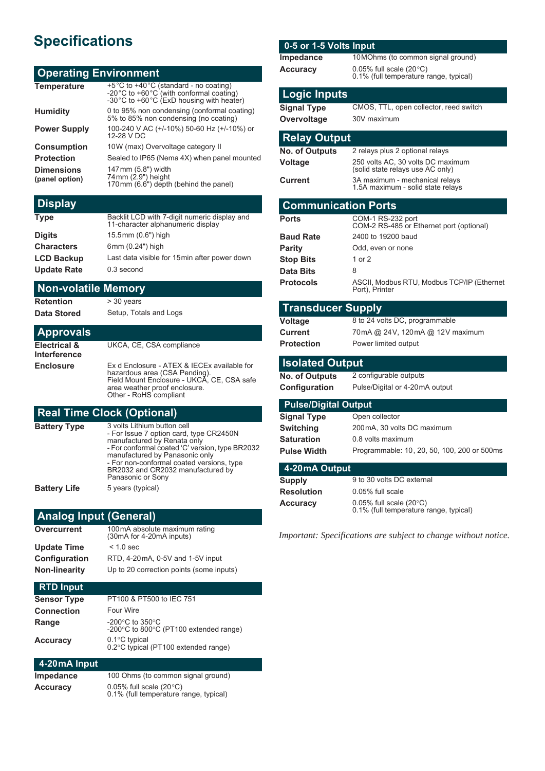# **Specifications**

### **Operating Environment**

| +5°C to +40°C (standard - no coating)<br>-20°C to +60°C (with conformal coating)<br>-30°C to +60°C (ExD housing with heater) |
|------------------------------------------------------------------------------------------------------------------------------|
| 0 to 95% non condensing (conformal coating)<br>5% to 85% non condensing (no coating)                                         |
| 100-240 V AC (+/-10%) 50-60 Hz (+/-10%) or<br>12-28 V DC                                                                     |
| 10W (max) Overvoltage category II                                                                                            |
| Sealed to IP65 (Nema 4X) when panel mounted                                                                                  |
| 147mm (5.8") width<br>74mm (2.9") height<br>170mm (6.6") depth (behind the panel)                                            |
|                                                                                                                              |

#### **Display**

| <b>Type</b>        | Backlit LCD with 7-digit numeric display and<br>11-character alphanumeric display |
|--------------------|-----------------------------------------------------------------------------------|
| <b>Digits</b>      | 15.5mm (0.6") high                                                                |
| <b>Characters</b>  | 6mm (0.24") high                                                                  |
| <b>LCD Backup</b>  | Last data visible for 15 min after power down                                     |
| <b>Update Rate</b> | 0.3 second                                                                        |

#### **Non-volatile Memory**

**Retention** > 30 years

**Data Stored** Setup, Totals and Logs

#### **Approvals**

**Electrical & Interference** UKCA, CE, CSA compliance **Enclosure** Ex d Enclosure - ATEX & IECEx available for hazardous area (CSA Pending). Field Mount Enclosure - UKCA, CE, CSA safe area weather proof enclosure. Other - RoHS compliant

#### **Real Time Clock (Optional)**

| 3 volts Lithium button cell<br>- For Issue 7 option card, type CR2450N<br>manufactured by Renata only<br>- For conformal coated 'C' version, type BR2032<br>manufactured by Panasonic only<br>- For non-conformal coated versions, type<br>BR2032 and CR2032 manufactured by<br>Panasonic or Sony |
|---------------------------------------------------------------------------------------------------------------------------------------------------------------------------------------------------------------------------------------------------------------------------------------------------|
| 5 years (typical)                                                                                                                                                                                                                                                                                 |
|                                                                                                                                                                                                                                                                                                   |

### **Analog Input (General)**

| 100mA absolute maximum rating<br>(30mA for 4-20mA inputs) |
|-----------------------------------------------------------|
| $< 1.0$ sec                                               |
| RTD, 4-20mA, 0-5V and 1-5V input                          |
| Up to 20 correction points (some inputs)                  |
|                                                           |

### **RTD Input Sensor Type** PT100 & PT500 to IEC 751 **Connection** Four Wire **Range** Fallong Constants to 350°C<br>C (PT100 extended range) -200°C to 800°C **Accuracy** 0.1°C typical<br>0.2°C typical (PT100 extended range)

## **4-20 mA Input**

**Impedance** 100 Ohms (to common signal ground) **Accuracy** 0.05% full scale (20°C) 0.1% (full temperature range, typical)

### **0-5 or 1-5 Volts Input**

| Impedance       | 10 MOhms (to common signal ground)                                         |  |  |
|-----------------|----------------------------------------------------------------------------|--|--|
| <b>Accuracy</b> | 0.05% full scale $(20^{\circ}C)$<br>0.1% (full temperature range, typical) |  |  |

10.1% (nperature range, typical

### **Logic Inputs**

**Signal Type** CMOS, TTL, open collector, reed switch **Overvoltage** 30V maximum

#### **Relay Output**

| <b>Relay Output</b>                                                                   |                                                                       |  |  |  |  |  |
|---------------------------------------------------------------------------------------|-----------------------------------------------------------------------|--|--|--|--|--|
| <b>No. of Outputs</b>                                                                 | 2 relays plus 2 optional relays                                       |  |  |  |  |  |
| <b>Voltage</b>                                                                        | 250 volts AC, 30 volts DC maximum<br>(solid state relays use AC only) |  |  |  |  |  |
| 3A maximum - mechanical relays<br><b>Current</b><br>1.5A maximum - solid state relays |                                                                       |  |  |  |  |  |
| <b>Communication Ports</b>                                                            |                                                                       |  |  |  |  |  |
| <b>Ports</b>                                                                          | COM-1 RS-232 port<br>COM-2 RS-485 or Ethernet port (optional)         |  |  |  |  |  |
| <b>Baud Rate</b>                                                                      | 2400 to 19200 baud                                                    |  |  |  |  |  |
| <b>Parity</b>                                                                         | Odd, even or none                                                     |  |  |  |  |  |
| <b>Stop Bits</b>                                                                      | 1 or 2                                                                |  |  |  |  |  |
| Data Bits                                                                             | 8                                                                     |  |  |  |  |  |

#### **Protocols** ASCII, Modbus RTU, Modbus TCP/IP (Ethernet Port), Printer

#### **Transducer Supply**

**Voltage** 8 to 24 volts DC, programmable **Current** 70mA @ 24V, 120mA @ 12V maximum **Protection** Power limited output

#### **Isolated Output**

**No. of Outputs** 2 configurable outputs

**Configuration** Pulse/Digital or 4-20mA output

#### **Pulse/Digital Output**

| Signal Type        | Open collector                              |
|--------------------|---------------------------------------------|
| Switching          | 200 mA, 30 volts DC maximum                 |
| Saturation         | 0.8 volts maximum                           |
| <b>Pulse Width</b> | Programmable: 10, 20, 50, 100, 200 or 500ms |
|                    |                                             |

#### **4-20 mA Output**

| Supply            | 9 to 30 yolts DC external                                                      |
|-------------------|--------------------------------------------------------------------------------|
| <b>Resolution</b> | 0.05% full scale                                                               |
| Accuracy          | $0.05\%$ full scale (20 $\degree$ C)<br>0.1% (full temperature range, typical) |

*Important: Specifications are subject to change without notice.*